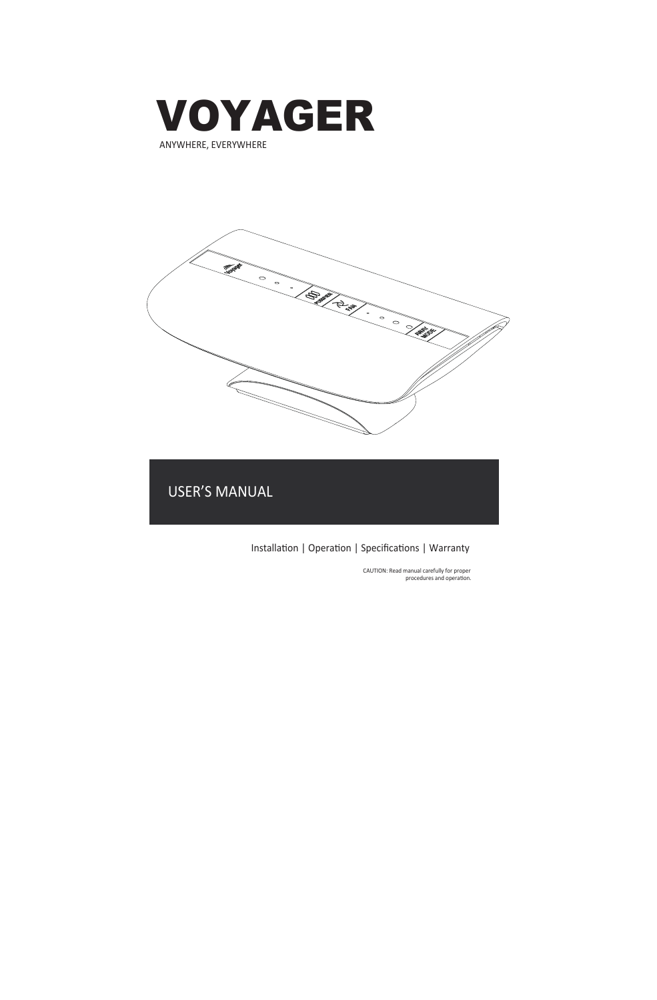

**SILLET CALLED STATES** 

USER'S MANUAL

Installation | Operation | Specifications | Warranty

CAUTION: Read manual carefully for proper<br>procedures and operation.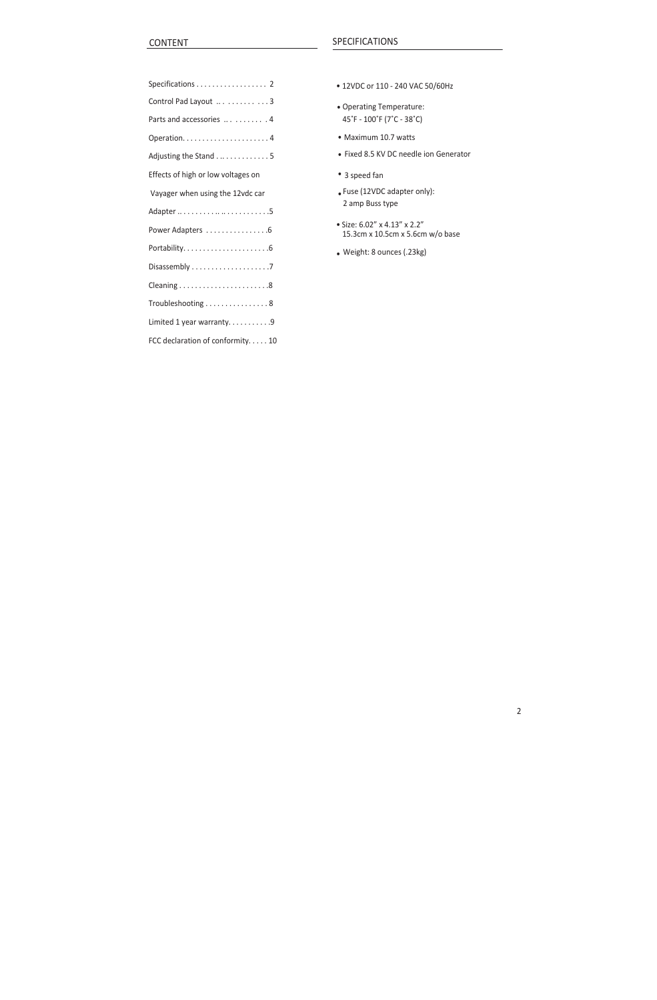| Specifications 2                   | • 12VDC or 110 - 240 VAC 50/60Hz                                |
|------------------------------------|-----------------------------------------------------------------|
| Control Pad Layout  3              | • Operating Temperature:<br>45°F - 100°F (7°C - 38°C)           |
| Parts and accessories  4           |                                                                 |
|                                    | • Maximum 10.7 watts                                            |
| Adjusting the Stand 5              | • Fixed 8.5 KV DC needle ion Gene                               |
| Effects of high or low voltages on | • 3 speed fan                                                   |
| Vayager when using the 12vdc car   | . Fuse (12VDC adapter only):                                    |
|                                    | 2 amp Buss type                                                 |
| Power Adapters 6                   | • Size: 6.02" x 4.13" x 2.2"<br>15.3cm x 10.5cm x 5.6cm w/o bas |
|                                    | • Weight: 8 ounces (.23kg)                                      |
|                                    |                                                                 |
|                                    |                                                                 |
| Troubleshooting 8                  |                                                                 |
| Limited 1 year warranty9           |                                                                 |
| FCC declaration of conformity10    |                                                                 |
|                                    |                                                                 |

- 
- Operating Temperature: 45°F - 100°F (7°C - 38°C)
- Maximum 10.7 watts
- Fixed 8.5 KV DC needle ion Generator
- 3 speed fan
- ï Fuse (12VDC adapter only): 2 amp Buss type
- ï Size: 6.02" x 4.13" x 2.2" 15.3cm x 10.5cm x 5.6cm w/o base

2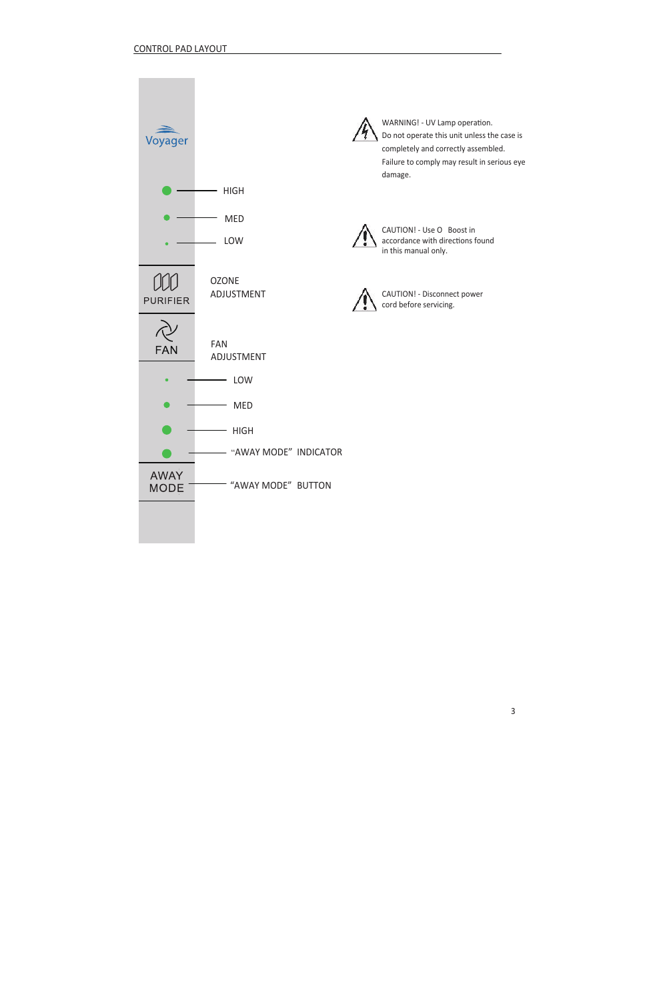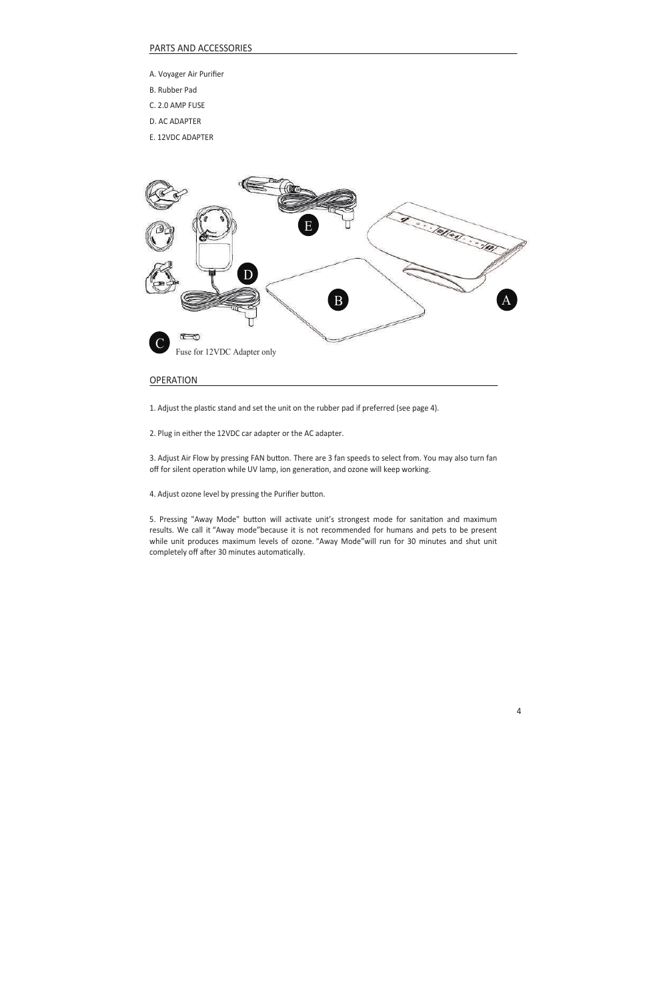# PARTS AND ACCESSORIES

- A. Voyager Air Purifier
- B. Rubber Pad
- C. 2.0 AMP FUSE
- D. AC ADAPTER
- E. 12VDC ADAPTER



# **OPERATION**

1. Adjust the plastic stand and set the unit on the rubber pad if preferred (see page 4).

2. Plug in either the 12VDC car adapter or the AC adapter.

3. Adjust Air Flow by pressing FAN button. There are 3 fan speeds to select from. You may also turn fan off for silent operation while UV lamp, ion generation, and ozone will keep working.

4. Adjust ozone level by pressing the Purifier button.

5. Pressing "Away Mode" button will activate unit's strongest mode for sanitation and maximum results. We call it "Away mode"because it is not recommended for humans and pets to be present while unit produces maximum levels of ozone. "Away Mode"will run for 30 minutes and shut unit completely off after 30 minutes automatically.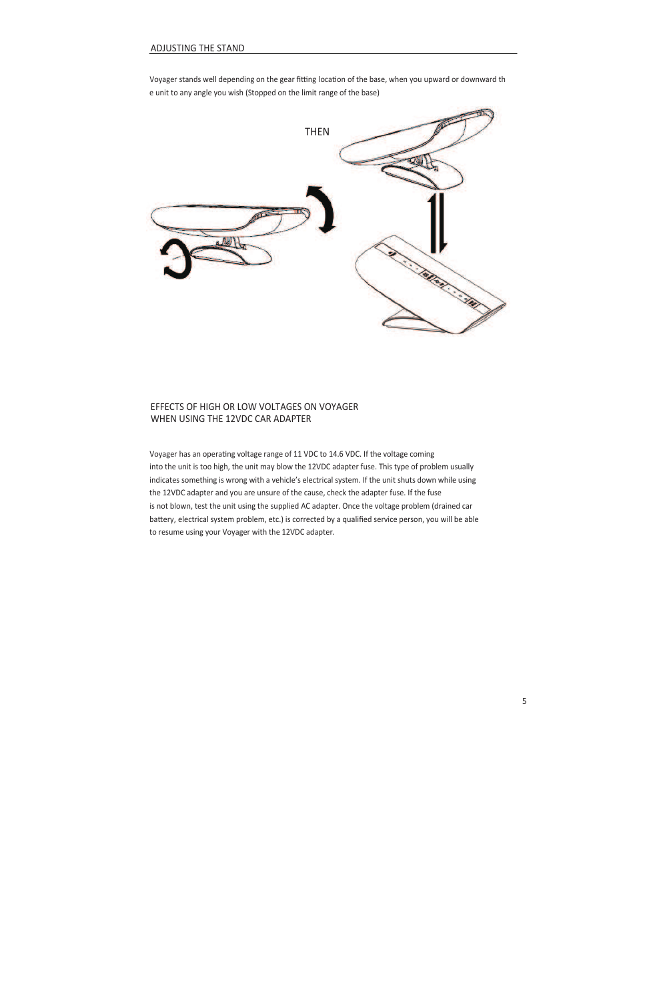Voyager stands well depending on the gear fitting location of the base, when you upward or downward th e unit to any angle you wish (Stopped on the limit range of the base)



# EFFECTS OF HIGH OR LOW VOLTAGES ON VOYAGER WHEN USING THE 12VDC CAR ADAPTER

Voyager has an operating voltage range of 11 VDC to 14.6 VDC. If the voltage coming into the unit is too high, the unit may blow the 12VDC adapter fuse. This type of problem usually indicates something is wrong with a vehicle's electrical system. If the unit shuts down while using the 12VDC adapter and you are unsure of the cause, check the adapter fuse. If the fuse is not blown, test the unit using the supplied AC adapter. Once the voltage problem (drained car battery, electrical system problem, etc.) is corrected by a qualified service person, you will be able to resume using your Voyager with the 12VDC adapter.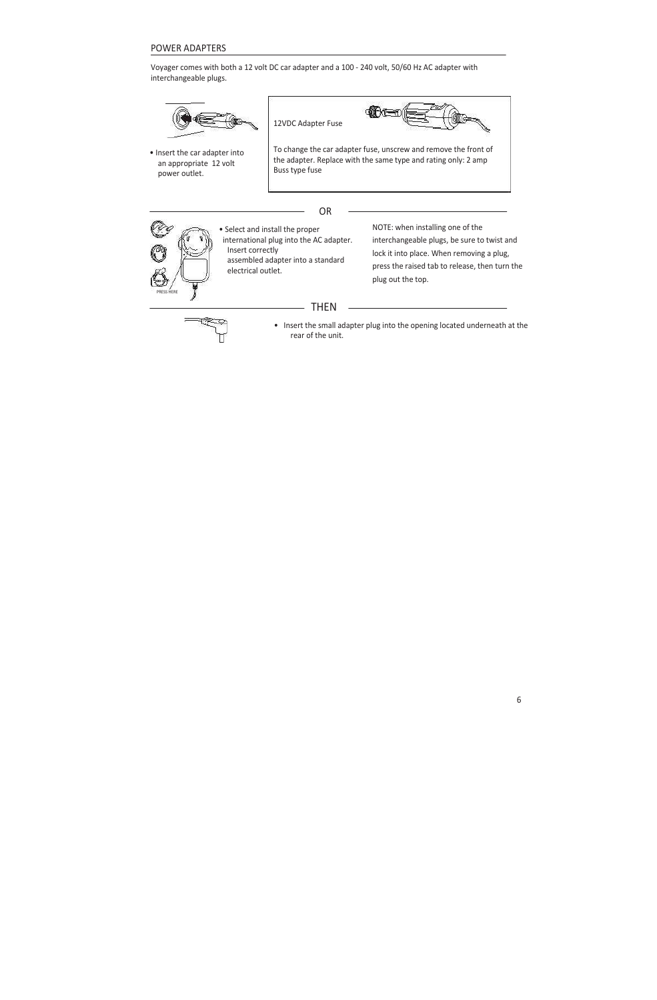# POWER ADAPTERS

Voyager comes with both a 12 volt DC car adapter and a 100 - 240 volt, 50/60 Hz AC adapter with interchangeable plugs.

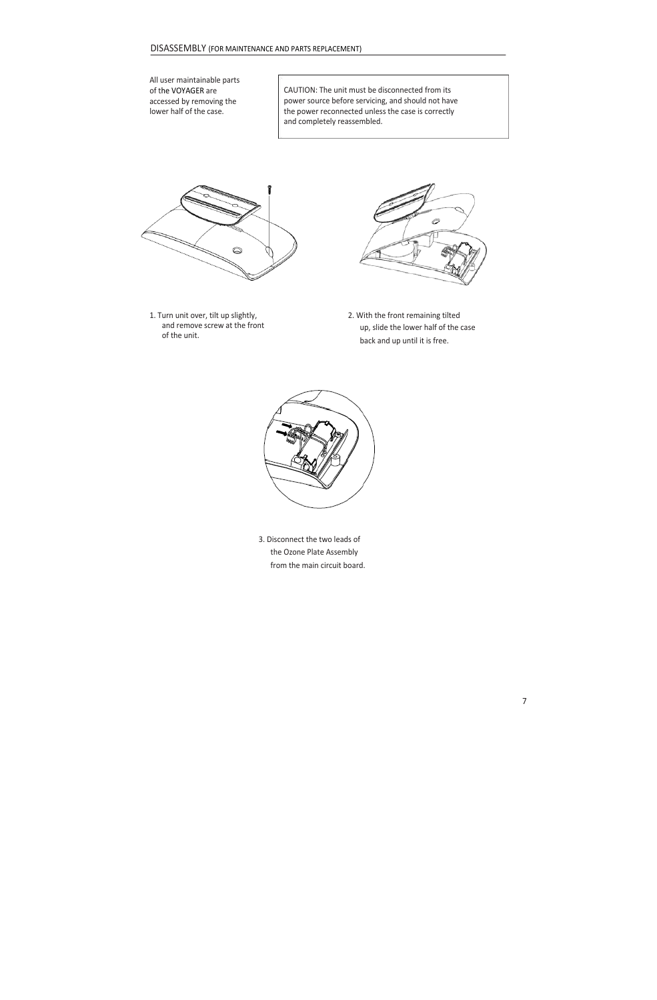



3. Disconnect the two leads of the Ozone Plate Assembly from the main circuit board.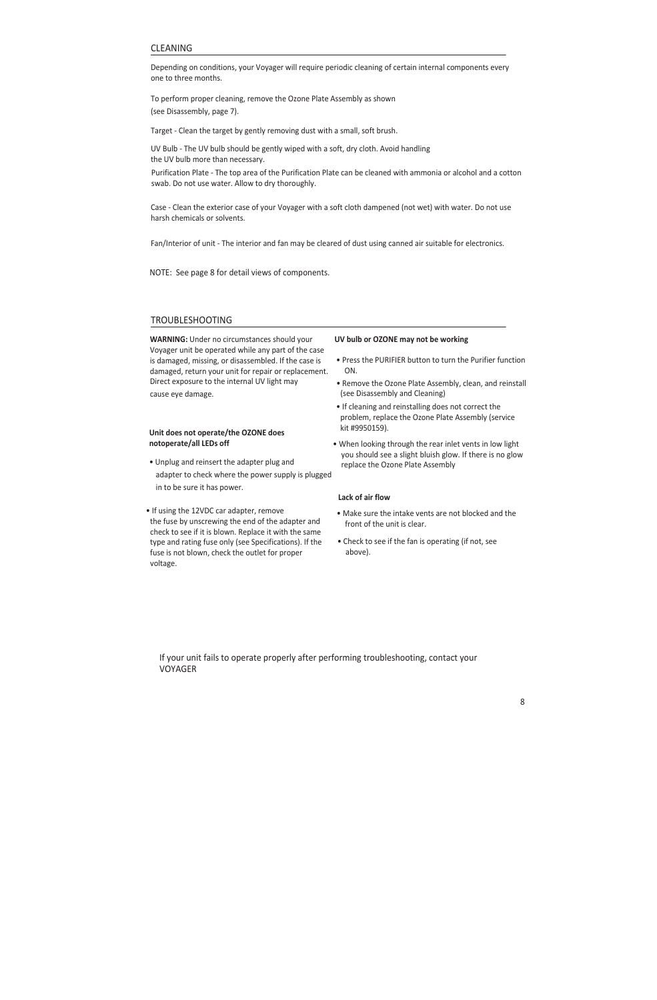# CLEANING

Depending on conditions, your Voyager will require periodic cleaning of certain internal components every one to three months.

To perform proper cleaning, remove the Ozone Plate Assembly as shown (see Disassembly, page 7).

Target - Clean the target by gently removing dust with a small, soft brush.

UV Bulb - The UV bulb should be gently wiped with a soft, dry cloth. Avoid handling the UV bulb more than necessary. Purification Plate - The top area of the Purification Plate can be cleaned with ammonia or alcohol and a cotton

swab. Do not use water. Allow to dry thoroughly.

Case - Clean the exterior case of your Voyager with a soft cloth dampened (not wet) with water. Do not use harsh chemicals or solvents.

Fan/Interior of unit - The interior and fan may be cleared of dust using canned air suitable for electronics.

NOTE: See page 8 for detail views of components.

### TROUBLESHOOTING

**WARNING:** Under no circumstances should your Voyager unit be operated while any part of the case is damaged, missing, or disassembled. If the case is damaged, return your unit for repair or replacement. Direct exposure to the internal UV light may cause eye damage.

#### **Unit does not operate/the OZONE does notoperate/all LEDs off**

- Unplug and reinsert the adapter plug and adapter to check where the power supply is plugged in to be sure it has power.
- If using the 12VDC car adapter, remove the fuse by unscrewing the end of the adapter and check to see if it is blown. Replace it with the same type and rating fuse only (see Specifications). If the fuse is not blown, check the outlet for proper voltage.

#### **UV bulb or OZONE may not be working**

- Press the PURIFIER button to turn the Purifier function ON.
- Remove the Ozone Plate Assembly, clean, and reinstall (see Disassembly and Cleaning)
- If cleaning and reinstalling does not correct the problem, replace the Ozone Plate Assembly (service kit #9950159).
- When looking through the rear inlet vents in low light you should see a slight bluish glow. If there is no glow replace the Ozone Plate Assembly

### **Lack of air flow**

- Make sure the intake vents are not blocked and the front of the unit is clear.
- Check to see if the fan is operating (if not, see above).

If your unit fails to operate properly after performing troubleshooting, contact your VOYAGER